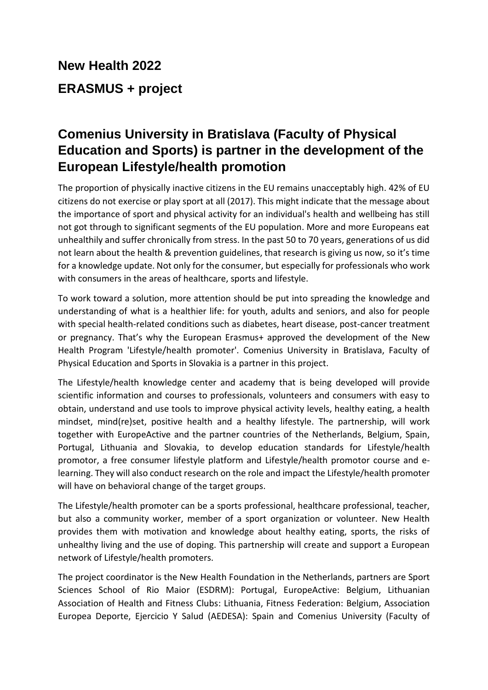## **New Health 2022 ERASMUS + project**

## **Comenius University in Bratislava (Faculty of Physical Education and Sports) is partner in the development of the European Lifestyle/health promotion**

The proportion of physically inactive citizens in the EU remains unacceptably high. 42% of EU citizens do not exercise or play sport at all (2017). This might indicate that the message about the importance of sport and physical activity for an individual's health and wellbeing has still not got through to significant segments of the EU population. More and more Europeans eat unhealthily and suffer chronically from stress. In the past 50 to 70 years, generations of us did not learn about the health & prevention guidelines, that research is giving us now, so it's time for a knowledge update. Not only for the consumer, but especially for professionals who work with consumers in the areas of healthcare, sports and lifestyle.

To work toward a solution, more attention should be put into spreading the knowledge and understanding of what is a healthier life: for youth, adults and seniors, and also for people with special health-related conditions such as diabetes, heart disease, post-cancer treatment or pregnancy. That's why the European Erasmus+ approved the development of the New Health Program 'Lifestyle/health promoter'. Comenius University in Bratislava, Faculty of Physical Education and Sports in Slovakia is a partner in this project.

The Lifestyle/health knowledge center and academy that is being developed will provide scientific information and courses to professionals, volunteers and consumers with easy to obtain, understand and use tools to improve physical activity levels, healthy eating, a health mindset, mind(re)set, positive health and a healthy lifestyle. The partnership, will work together with EuropeActive and the partner countries of the Netherlands, Belgium, Spain, Portugal, Lithuania and Slovakia, to develop education standards for Lifestyle/health promotor, a free consumer lifestyle platform and Lifestyle/health promotor course and elearning. They will also conduct research on the role and impact the Lifestyle/health promoter will have on behavioral change of the target groups.

The Lifestyle/health promoter can be a sports professional, healthcare professional, teacher, but also a community worker, member of a sport organization or volunteer. New Health provides them with motivation and knowledge about healthy eating, sports, the risks of unhealthy living and the use of doping. This partnership will create and support a European network of Lifestyle/health promoters.

The project coordinator is the New Health Foundation in the Netherlands, partners are Sport Sciences School of Rio Maior (ESDRM): Portugal, EuropeActive: Belgium, Lithuanian Association of Health and Fitness Clubs: Lithuania, Fitness Federation: Belgium, Association Europea Deporte, Ejercicio Y Salud (AEDESA): Spain and Comenius University (Faculty of